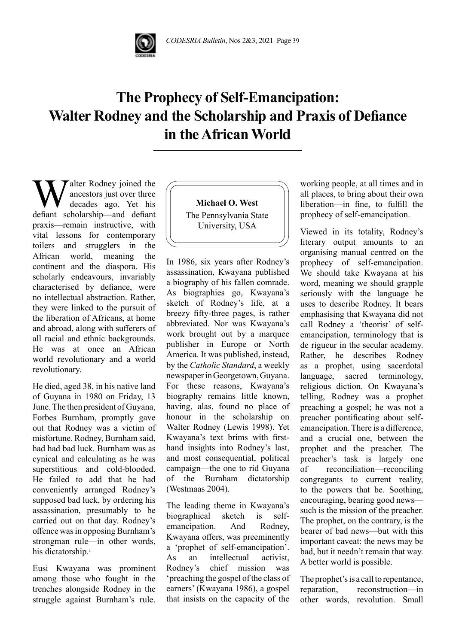

## **The Prophecy of Self-Emancipation: Walter Rodney and the Scholarship and Praxis of Defiance in the African World**

Walter Rodney joined the ancestors just over three decades ago. Yet his defiant scholarship—and defiant ancestors just over three decades ago. Yet his praxis—remain instructive, with vital lessons for contemporary toilers and strugglers in the African world, meaning the continent and the diaspora. His scholarly endeavours, invariably characterised by defiance, were no intellectual abstraction. Rather, they were linked to the pursuit of the liberation of Africans, at home and abroad, along with sufferers of all racial and ethnic backgrounds. He was at once an African world revolutionary and a world revolutionary.

He died, aged 38, in his native land of Guyana in 1980 on Friday, 13 June. The then president of Guyana, Forbes Burnham, promptly gave out that Rodney was a victim of misfortune. Rodney, Burnham said, had had bad luck. Burnham was as cynical and calculating as he was superstitious and cold-blooded. He failed to add that he had conveniently arranged Rodney's supposed bad luck, by ordering his assassination, presumably to be carried out on that day. Rodney's offence was in opposing Burnham's strongman rule—in other words, his dictatorship.<sup>1</sup>

Eusi Kwayana was prominent among those who fought in the trenches alongside Rodney in the struggle against Burnham's rule.

**Michael O. West** The Pennsylvania State University, USA

In 1986, six years after Rodney's assassination, Kwayana published a biography of his fallen comrade. As biographies go, Kwayana's sketch of Rodney's life, at a breezy fifty-three pages, is rather abbreviated. Nor was Kwayana's work brought out by a marquee publisher in Europe or North America. It was published, instead, by the *Catholic Standard*, a weekly newspaper in Georgetown, Guyana. For these reasons, Kwayana's biography remains little known, having, alas, found no place of honour in the scholarship on Walter Rodney (Lewis 1998). Yet Kwayana's text brims with firsthand insights into Rodney's last, and most consequential, political campaign—the one to rid Guyana of the Burnham dictatorship (Westmaas 2004).

The leading theme in Kwayana's biographical sketch is selfemancipation. And Rodney, Kwayana offers, was preeminently a 'prophet of self-emancipation'. As an intellectual activist, Rodney's chief mission was 'preaching the gospel of the class of earners' (Kwayana 1986), a gospel that insists on the capacity of the

working people, at all times and in all places, to bring about their own liberation—in fine, to fulfill the prophecy of self-emancipation.

Viewed in its totality, Rodney's literary output amounts to an organising manual centred on the prophecy of self-emancipation. We should take Kwayana at his word, meaning we should grapple seriously with the language he uses to describe Rodney. It bears emphasising that Kwayana did not call Rodney a 'theorist' of selfemancipation, terminology that is de rigueur in the secular academy. Rather, he describes Rodney as a prophet, using sacerdotal language, sacred terminology, religious diction. On Kwayana's telling, Rodney was a prophet preaching a gospel; he was not a preacher pontificating about selfemancipation. There is a difference, and a crucial one, between the prophet and the preacher. The preacher's task is largely one of reconciliation—reconciling congregants to current reality, to the powers that be. Soothing, encouraging, bearing good news such is the mission of the preacher. The prophet, on the contrary, is the bearer of bad news—but with this important caveat: the news may be bad, but it needn't remain that way. A better world is possible.

The prophet's is a call to repentance, reparation, reconstruction—in other words, revolution. Small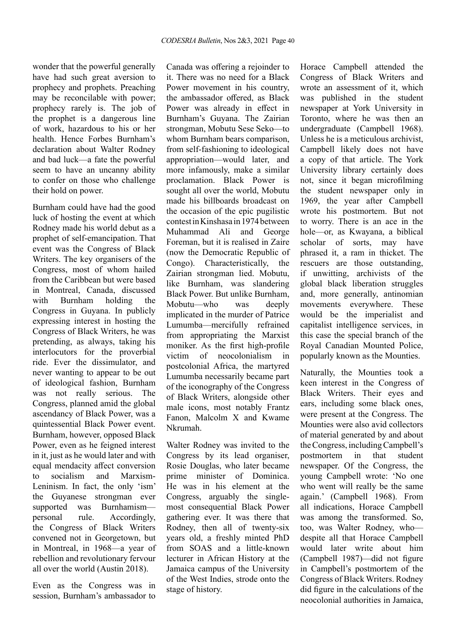wonder that the powerful generally have had such great aversion to prophecy and prophets. Preaching may be reconcilable with power; prophecy rarely is. The job of the prophet is a dangerous line of work, hazardous to his or her health. Hence Forbes Burnham's declaration about Walter Rodney and bad luck—a fate the powerful seem to have an uncanny ability to confer on those who challenge their hold on power.

Burnham could have had the good luck of hosting the event at which Rodney made his world debut as a prophet of self-emancipation. That event was the Congress of Black Writers. The key organisers of the Congress, most of whom hailed from the Caribbean but were based in Montreal, Canada, discussed with Burnham holding the Congress in Guyana. In publicly expressing interest in hosting the Congress of Black Writers, he was pretending, as always, taking his interlocutors for the proverbial ride. Ever the dissimulator, and never wanting to appear to be out of ideological fashion, Burnham was not really serious. The Congress, planned amid the global ascendancy of Black Power, was a quintessential Black Power event. Burnham, however, opposed Black Power, even as he feigned interest in it, just as he would later and with equal mendacity affect conversion to socialism and Marxism-Leninism. In fact, the only 'ism' the Guyanese strongman ever supported was Burnhamism personal rule. Accordingly, the Congress of Black Writers convened not in Georgetown, but in Montreal, in 1968—a year of rebellion and revolutionary fervour all over the world (Austin 2018).

Even as the Congress was in session, Burnham's ambassador to

Canada was offering a rejoinder to it. There was no need for a Black Power movement in his country, the ambassador offered, as Black Power was already in effect in Burnham's Guyana. The Zairian strongman, Mobutu Sese Seko—to whom Burnham bears comparison. from self-fashioning to ideological appropriation—would later, and more infamously, make a similar proclamation. Black Power is sought all over the world, Mobutu made his billboards broadcast on the occasion of the epic pugilistic contest in Kinshasa in 1974 between Muhammad Ali and George Foreman, but it is realised in Zaire (now the Democratic Republic of Congo). Characteristically, the Zairian strongman lied. Mobutu, like Burnham, was slandering Black Power. But unlike Burnham, Mobutu—who was deeply implicated in the murder of Patrice Lumumba—mercifully refrained from appropriating the Marxist moniker. As the first high-profile victim of neocolonialism in postcolonial Africa, the martyred Lumumba necessarily became part of the iconography of the Congress of Black Writers, alongside other male icons, most notably Frantz Fanon, Malcolm X and Kwame Nkrumah.

Walter Rodney was invited to the Congress by its lead organiser, Rosie Douglas, who later became prime minister of Dominica. He was in his element at the Congress, arguably the singlemost consequential Black Power gathering ever. It was there that Rodney, then all of twenty-six years old, a freshly minted PhD from SOAS and a little-known lecturer in African History at the Jamaica campus of the University of the West Indies, strode onto the stage of history.

Horace Campbell attended the Congress of Black Writers and wrote an assessment of it, which was published in the student newspaper at York University in Toronto, where he was then an undergraduate (Campbell 1968). Unless he is a meticulous archivist, Campbell likely does not have a copy of that article. The York University library certainly does not, since it began microfilming the student newspaper only in 1969, the year after Campbell wrote his postmortem. But not to worry. There is an ace in the hole—or, as Kwayana, a biblical scholar of sorts, may have phrased it, a ram in thicket. The rescuers are those outstanding, if unwitting, archivists of the global black liberation struggles and, more generally, antinomian movements everywhere. These would be the imperialist and capitalist intelligence services, in this case the special branch of the Royal Canadian Mounted Police, popularly known as the Mounties.

Naturally, the Mounties took a keen interest in the Congress of Black Writers. Their eyes and ears, including some black ones, were present at the Congress. The Mounties were also avid collectors of material generated by and about the Congress, including Campbell's postmortem in that student newspaper. Of the Congress, the young Campbell wrote: 'No one who went will really be the same again.' (Campbell 1968). From all indications, Horace Campbell was among the transformed. So, too, was Walter Rodney, who despite all that Horace Campbell would later write about him (Campbell 1987)—did not figure in Campbell's postmortem of the Congress of Black Writers. Rodney did figure in the calculations of the neocolonial authorities in Jamaica,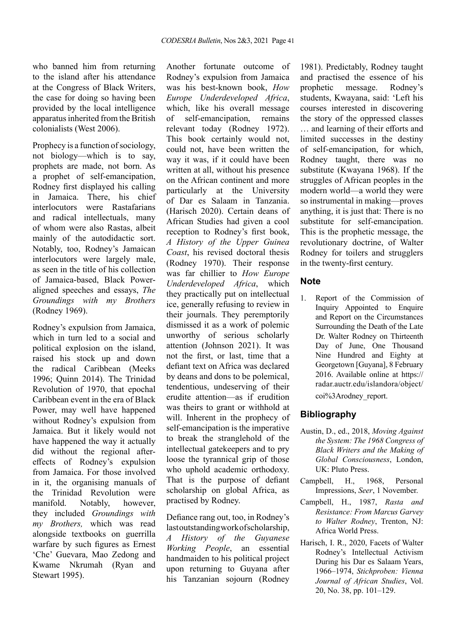who banned him from returning to the island after his attendance at the Congress of Black Writers, the case for doing so having been provided by the local intelligence apparatus inherited from the British colonialists (West 2006).

Prophecy is a function of sociology, not biology—which is to say, prophets are made, not born. As a prophet of self-emancipation, Rodney first displayed his calling in Jamaica. There, his chief interlocutors were Rastafarians and radical intellectuals, many of whom were also Rastas, albeit mainly of the autodidactic sort. Notably, too, Rodney's Jamaican interlocutors were largely male, as seen in the title of his collection of Jamaica-based, Black Poweraligned speeches and essays, *The Groundings with my Brothers* (Rodney 1969).

Rodney's expulsion from Jamaica, which in turn led to a social and political explosion on the island, raised his stock up and down the radical Caribbean (Meeks 1996; Quinn 2014). The Trinidad Revolution of 1970, that epochal Caribbean event in the era of Black Power, may well have happened without Rodney's expulsion from Jamaica. But it likely would not have happened the way it actually did without the regional aftereffects of Rodney's expulsion from Jamaica. For those involved in it, the organising manuals of the Trinidad Revolution were manifold. Notably, however, they included *Groundings with my Brothers,* which was read alongside textbooks on guerrilla warfare by such figures as Ernest 'Che' Guevara, Mao Zedong and Kwame Nkrumah (Ryan and Stewart 1995).

Another fortunate outcome of Rodney's expulsion from Jamaica was his best-known book, *How Europe Underdeveloped Africa*, which, like his overall message of self-emancipation, remains relevant today (Rodney 1972). This book certainly would not, could not, have been written the way it was, if it could have been written at all, without his presence on the African continent and more particularly at the University of Dar es Salaam in Tanzania. (Harisch 2020). Certain deans of African Studies had given a cool reception to Rodney's first book, *A History of the Upper Guinea Coast*, his revised doctoral thesis (Rodney 1970). Their response was far chillier to *How Europe Underdeveloped Africa*, which they practically put on intellectual ice, generally refusing to review in their journals. They peremptorily dismissed it as a work of polemic unworthy of serious scholarly attention (Johnson 2021). It was not the first, or last, time that a defiant text on Africa was declared by deans and dons to be polemical, tendentious, undeserving of their erudite attention—as if erudition was theirs to grant or withhold at will. Inherent in the prophecy of self-emancipation is the imperative to break the stranglehold of the intellectual gatekeepers and to pry loose the tyrannical grip of those who uphold academic orthodoxy. That is the purpose of defiant scholarship on global Africa, as practised by Rodney.

Defiance rang out, too, in Rodney's last outstanding work of scholarship, *A History of the Guyanese Working People*, an essential handmaiden to his political project upon returning to Guyana after his Tanzanian sojourn (Rodney

1981). Predictably, Rodney taught and practised the essence of his prophetic message. Rodney's students, Kwayana, said: 'Left his courses interested in discovering the story of the oppressed classes … and learning of their efforts and limited successes in the destiny of self-emancipation, for which, Rodney taught, there was no substitute (Kwayana 1968). If the struggles of African peoples in the modern world—a world they were so instrumental in making—proves anything, it is just that: There is no substitute for self-emancipation. This is the prophetic message, the revolutionary doctrine, of Walter Rodney for toilers and strugglers in the twenty-first century.

## **Note**

1. Report of the Commission of Inquiry Appointed to Enquire and Report on the Circumstances Surrounding the Death of the Late Dr. Walter Rodney on Thirteenth Day of June, One Thousand Nine Hundred and Eighty at Georgetown [Guyana], 8 February 2016. Available online at https:// radar.auctr.edu/islandora/object/ coi%3Arodney report.

## **Bibliography**

- Austin, D., ed., 2018, *Moving Against the System: The 1968 Congress of Black Writers and the Making of Global Consciousness*, London, UK: Pluto Press.
- Campbell, H., 1968, Personal Impressions, *Seer*, 1 November.
- Campbell, H., 1987, *Rasta and Resistance: From Marcus Garvey to Walter Rodney*, Trenton, NJ: Africa World Press.
- Harisch, I. R., 2020, Facets of Walter Rodney's Intellectual Activism During his Dar es Salaam Years, 1966–1974, *Stichproben: Vienna Journal of African Studies*, Vol. 20, No. 38, pp. 101–129.